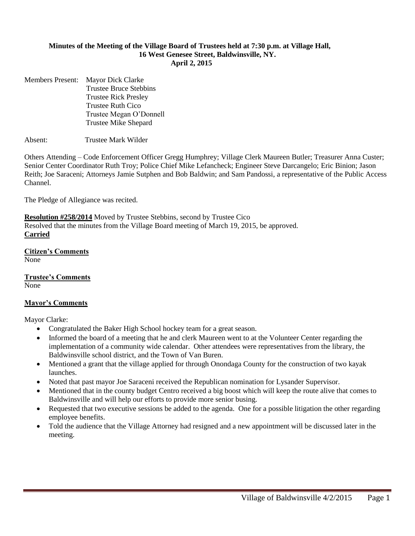#### **Minutes of the Meeting of the Village Board of Trustees held at 7:30 p.m. at Village Hall, 16 West Genesee Street, Baldwinsville, NY. April 2, 2015**

Members Present: Mayor Dick Clarke Trustee Bruce Stebbins Trustee Rick Presley Trustee Ruth Cico Trustee Megan O'Donnell Trustee Mike Shepard

Absent: Trustee Mark Wilder

Others Attending – Code Enforcement Officer Gregg Humphrey; Village Clerk Maureen Butler; Treasurer Anna Custer; Senior Center Coordinator Ruth Troy; Police Chief Mike Lefancheck; Engineer Steve Darcangelo; Eric Binion; Jason Reith; Joe Saraceni; Attorneys Jamie Sutphen and Bob Baldwin; and Sam Pandossi, a representative of the Public Access Channel.

The Pledge of Allegiance was recited.

**Resolution #258/2014** Moved by Trustee Stebbins, second by Trustee Cico Resolved that the minutes from the Village Board meeting of March 19, 2015, be approved. **Carried**

**Citizen's Comments** None

**Trustee's Comments** None

#### **Mayor's Comments**

Mayor Clarke:

- Congratulated the Baker High School hockey team for a great season.
- Informed the board of a meeting that he and clerk Maureen went to at the Volunteer Center regarding the implementation of a community wide calendar. Other attendees were representatives from the library, the Baldwinsville school district, and the Town of Van Buren.
- Mentioned a grant that the village applied for through Onondaga County for the construction of two kayak launches.
- Noted that past mayor Joe Saraceni received the Republican nomination for Lysander Supervisor.
- Mentioned that in the county budget Centro received a big boost which will keep the route alive that comes to Baldwinsville and will help our efforts to provide more senior busing.
- Requested that two executive sessions be added to the agenda. One for a possible litigation the other regarding employee benefits.
- Told the audience that the Village Attorney had resigned and a new appointment will be discussed later in the meeting.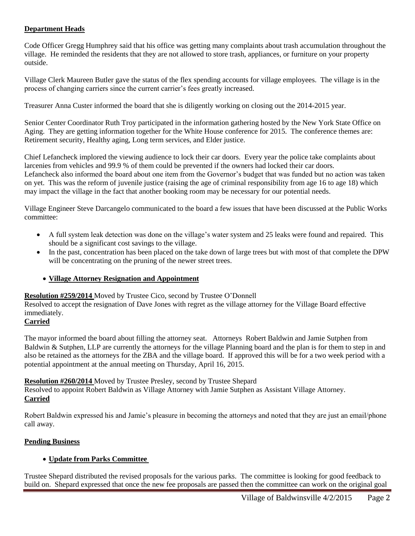### **Department Heads**

Code Officer Gregg Humphrey said that his office was getting many complaints about trash accumulation throughout the village. He reminded the residents that they are not allowed to store trash, appliances, or furniture on your property outside.

Village Clerk Maureen Butler gave the status of the flex spending accounts for village employees. The village is in the process of changing carriers since the current carrier's fees greatly increased.

Treasurer Anna Custer informed the board that she is diligently working on closing out the 2014-2015 year.

Senior Center Coordinator Ruth Troy participated in the information gathering hosted by the New York State Office on Aging. They are getting information together for the White House conference for 2015. The conference themes are: Retirement security, Healthy aging, Long term services, and Elder justice.

Chief Lefancheck implored the viewing audience to lock their car doors. Every year the police take complaints about larcenies from vehicles and 99.9 % of them could be prevented if the owners had locked their car doors. Lefancheck also informed the board about one item from the Governor's budget that was funded but no action was taken on yet. This was the reform of juvenile justice (raising the age of criminal responsibility from age 16 to age 18) which may impact the village in the fact that another booking room may be necessary for our potential needs.

Village Engineer Steve Darcangelo communicated to the board a few issues that have been discussed at the Public Works committee:

- A full system leak detection was done on the village's water system and 25 leaks were found and repaired. This should be a significant cost savings to the village.
- In the past, concentration has been placed on the take down of large trees but with most of that complete the DPW will be concentrating on the pruning of the newer street trees.

### **Village Attorney Resignation and Appointment**

### **Resolution #259/2014** Moved by Trustee Cico, second by Trustee O'Donnell

Resolved to accept the resignation of Dave Jones with regret as the village attorney for the Village Board effective immediately.

# **Carried**

The mayor informed the board about filling the attorney seat. Attorneys Robert Baldwin and Jamie Sutphen from Baldwin & Sutphen, LLP are currently the attorneys for the village Planning board and the plan is for them to step in and also be retained as the attorneys for the ZBA and the village board. If approved this will be for a two week period with a potential appointment at the annual meeting on Thursday, April 16, 2015.

**Resolution #260/2014** Moved by Trustee Presley, second by Trustee Shepard

Resolved to appoint Robert Baldwin as Village Attorney with Jamie Sutphen as Assistant Village Attorney. **Carried**

Robert Baldwin expressed his and Jamie's pleasure in becoming the attorneys and noted that they are just an email/phone call away.

### **Pending Business**

### **Update from Parks Committee**

Trustee Shepard distributed the revised proposals for the various parks. The committee is looking for good feedback to build on. Shepard expressed that once the new fee proposals are passed then the committee can work on the original goal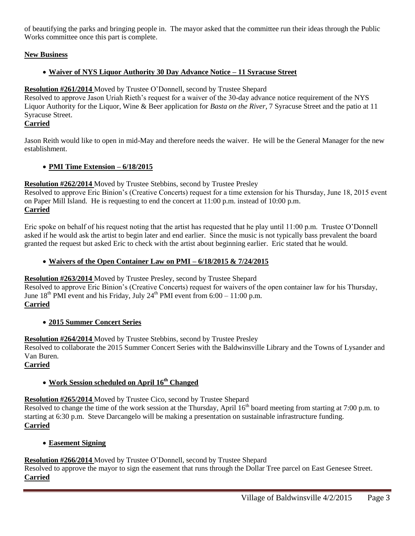of beautifying the parks and bringing people in. The mayor asked that the committee run their ideas through the Public Works committee once this part is complete.

# **New Business**

# **Waiver of NYS Liquor Authority 30 Day Advance Notice – 11 Syracuse Street**

### **Resolution #261/2014** Moved by Trustee O'Donnell, second by Trustee Shepard

Resolved to approve Jason Uriah Rieth's request for a waiver of the 30-day advance notice requirement of the NYS Liquor Authority for the Liquor, Wine & Beer application for *Basta on the River*, 7 Syracuse Street and the patio at 11 Syracuse Street.

### **Carried**

Jason Reith would like to open in mid-May and therefore needs the waiver. He will be the General Manager for the new establishment.

### **PMI Time Extension – 6/18/2015**

### **Resolution #262/2014** Moved by Trustee Stebbins, second by Trustee Presley

Resolved to approve Eric Binion's (Creative Concerts) request for a time extension for his Thursday, June 18, 2015 event on Paper Mill Island. He is requesting to end the concert at 11:00 p.m. instead of 10:00 p.m. **Carried**

Eric spoke on behalf of his request noting that the artist has requested that he play until 11:00 p.m. Trustee O'Donnell asked if he would ask the artist to begin later and end earlier. Since the music is not typically bass prevalent the board granted the request but asked Eric to check with the artist about beginning earlier. Eric stated that he would.

### **Waivers of the Open Container Law on PMI – 6/18/2015 & 7/24/2015**

**Resolution #263/2014** Moved by Trustee Presley, second by Trustee Shepard

Resolved to approve Eric Binion's (Creative Concerts) request for waivers of the open container law for his Thursday, June  $18^{th}$  PMI event and his Friday, July  $24^{th}$  PMI event from 6:00 – 11:00 p.m. **Carried**

# **2015 Summer Concert Series**

**Resolution #264/2014** Moved by Trustee Stebbins, second by Trustee Presley

Resolved to collaborate the 2015 Summer Concert Series with the Baldwinsville Library and the Towns of Lysander and Van Buren.

# **Carried**

# **Work Session scheduled on April 16th Changed**

# **Resolution #265/2014** Moved by Trustee Cico, second by Trustee Shepard

Resolved to change the time of the work session at the Thursday, April  $16<sup>th</sup>$  board meeting from starting at 7:00 p.m. to starting at 6:30 p.m. Steve Darcangelo will be making a presentation on sustainable infrastructure funding. **Carried**

# **Easement Signing**

# **Resolution #266/2014** Moved by Trustee O'Donnell, second by Trustee Shepard

Resolved to approve the mayor to sign the easement that runs through the Dollar Tree parcel on East Genesee Street. **Carried**